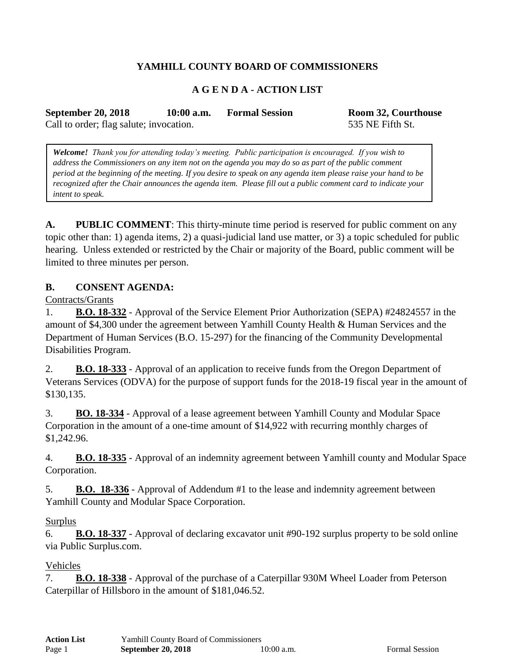# **YAMHILL COUNTY BOARD OF COMMISSIONERS**

## **A G E N D A - ACTION LIST**

**September 20, 2018 10:00 a.m. Formal Session Room 32, Courthouse**

Call to order; flag salute; invocation. 535 NE Fifth St.

*Welcome! Thank you for attending today's meeting. Public participation is encouraged. If you wish to address the Commissioners on any item not on the agenda you may do so as part of the public comment period at the beginning of the meeting. If you desire to speak on any agenda item please raise your hand to be recognized after the Chair announces the agenda item. Please fill out a public comment card to indicate your intent to speak.*

**A. PUBLIC COMMENT**: This thirty-minute time period is reserved for public comment on any topic other than: 1) agenda items, 2) a quasi-judicial land use matter, or 3) a topic scheduled for public hearing. Unless extended or restricted by the Chair or majority of the Board, public comment will be limited to three minutes per person.

### **B. CONSENT AGENDA:**

Contracts/Grants

1. **B.O. 18-332** - Approval of the Service Element Prior Authorization (SEPA) #24824557 in the amount of \$4,300 under the agreement between Yamhill County Health & Human Services and the Department of Human Services (B.O. 15-297) for the financing of the Community Developmental Disabilities Program.

2. **B.O. 18-333** - Approval of an application to receive funds from the Oregon Department of Veterans Services (ODVA) for the purpose of support funds for the 2018-19 fiscal year in the amount of \$130,135.

3. **BO. 18-334** - Approval of a lease agreement between Yamhill County and Modular Space Corporation in the amount of a one-time amount of \$14,922 with recurring monthly charges of \$1,242.96.

4. **B.O. 18-335** - Approval of an indemnity agreement between Yamhill county and Modular Space Corporation.

5. **B.O. 18-336** - Approval of Addendum #1 to the lease and indemnity agreement between Yamhill County and Modular Space Corporation.

#### Surplus

6. **B.O. 18-337** - Approval of declaring excavator unit #90-192 surplus property to be sold online via Public Surplus.com.

#### Vehicles

7. **B.O. 18-338** - Approval of the purchase of a Caterpillar 930M Wheel Loader from Peterson Caterpillar of Hillsboro in the amount of \$181,046.52.